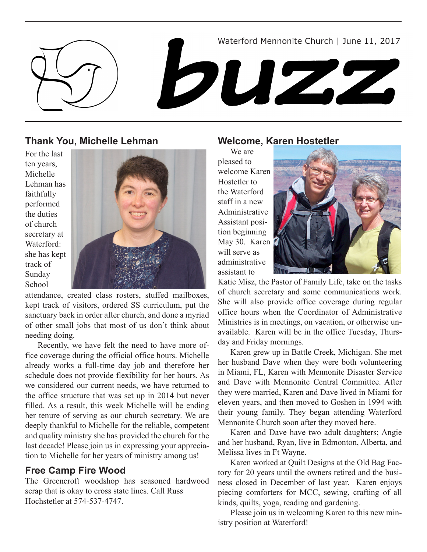

## **Thank You, Michelle Lehman**

For the last ten years, Michelle Lehman has faithfully performed the duties of church secretary at Waterford: she has kept track of Sunday School



attendance, created class rosters, stuffed mailboxes, kept track of visitors, ordered SS curriculum, put the sanctuary back in order after church, and done a myriad of other small jobs that most of us don't think about needing doing.

Recently, we have felt the need to have more office coverage during the official office hours. Michelle already works a full-time day job and therefore her schedule does not provide flexibility for her hours. As we considered our current needs, we have returned to the office structure that was set up in 2014 but never filled. As a result, this week Michelle will be ending her tenure of serving as our church secretary. We are deeply thankful to Michelle for the reliable, competent and quality ministry she has provided the church for the last decade! Please join us in expressing your appreciation to Michelle for her years of ministry among us!

# **Free Camp Fire Wood**

The Greencroft woodshop has seasoned hardwood scrap that is okay to cross state lines. Call Russ Hochstetler at 574-537-4747.

## **Welcome, Karen Hostetler**

We are pleased to welcome Karen Hostetler to the Waterford staff in a new Administrative Assistant position beginning May 30. Karen will serve as administrative assistant to



Katie Misz, the Pastor of Family Life, take on the tasks of church secretary and some communications work. She will also provide office coverage during regular office hours when the Coordinator of Administrative Ministries is in meetings, on vacation, or otherwise unavailable. Karen will be in the office Tuesday, Thursday and Friday mornings.

Karen grew up in Battle Creek, Michigan. She met her husband Dave when they were both volunteering in Miami, FL, Karen with Mennonite Disaster Service and Dave with Mennonite Central Committee. After they were married, Karen and Dave lived in Miami for eleven years, and then moved to Goshen in 1994 with their young family. They began attending Waterford Mennonite Church soon after they moved here.

Karen and Dave have two adult daughters; Angie and her husband, Ryan, live in Edmonton, Alberta, and Melissa lives in Ft Wayne.

Karen worked at Quilt Designs at the Old Bag Factory for 20 years until the owners retired and the business closed in December of last year. Karen enjoys piecing comforters for MCC, sewing, crafting of all kinds, quilts, yoga, reading and gardening.

Please join us in welcoming Karen to this new ministry position at Waterford!